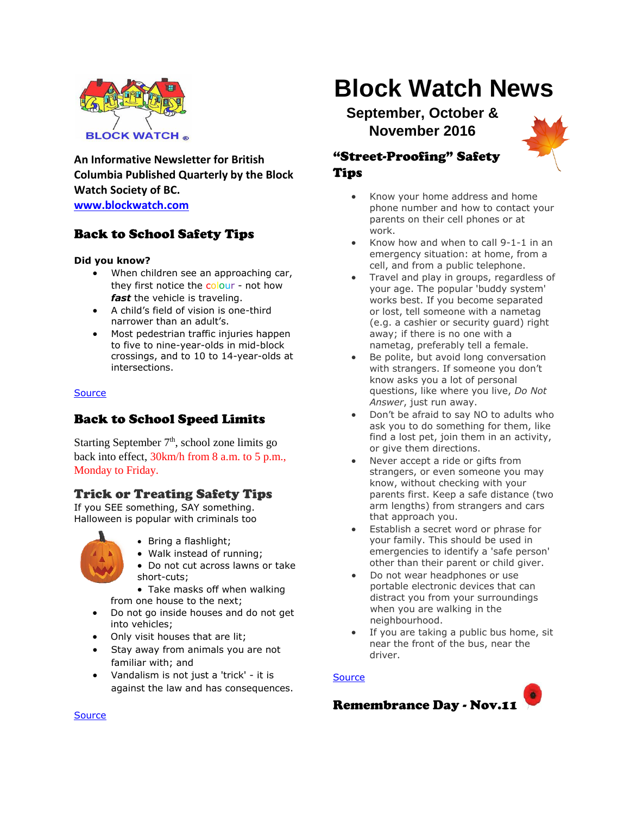

**An Informative Newsletter for British Columbia Published Quarterly by the Block Watch Society of BC. [www.blockwatch.com](http://www.blockwatch.com/)**

## Back to School Safety Tips

#### **Did you know?**

- When children see an approaching car, they first notice the colour - not how *fast* the vehicle is traveling.
- A child's field of vision is one-third narrower than an adult's.
- Most pedestrian traffic injuries happen to five to nine-year-olds in mid-block crossings, and to 10 to 14-year-olds at intersections.

#### **[Source](http://bc.rcmp-grc.gc.ca/ViewPage.action?siteNodeId=87&languageId=1&contentId=11307)**

## Back to School Speed Limits

Starting September  $7<sup>th</sup>$ , school zone limits go back into effect, 30km/h from 8 a.m. to 5 p.m., Monday to Friday.

#### Trick or Treating Safety Tips

If you SEE something, SAY something. Halloween is popular with criminals too



- Bring a flashlight;
- Walk instead of running;
- Do not cut across lawns or take short-cuts;

• Take masks off when walking from one house to the next;

- Do not go inside houses and do not get into vehicles;
- Only visit houses that are lit;
- Stay away from animals you are not familiar with; and
- Vandalism is not just a 'trick' it is against the law and has consequences.

# **Block Watch News**

**September, October & November 2016**



## "Street-Proofing" Safety Tips

- Know your home address and home phone number and how to contact your parents on their cell phones or at work.
- Know how and when to call 9-1-1 in an emergency situation: at home, from a cell, and from a public telephone.
- Travel and play in groups, regardless of your age. The popular 'buddy system' works best. If you become separated or lost, tell someone with a nametag (e.g. a cashier or security guard) right away; if there is no one with a nametag, preferably tell a female.
- Be polite, but avoid long conversation with strangers. If someone you don't know asks you a lot of personal questions, like where you live, *Do Not Answer*, just run away.
- Don't be afraid to say NO to adults who ask you to do something for them, like find a lost pet, join them in an activity, or give them directions.
- Never accept a ride or gifts from strangers, or even someone you may know, without checking with your parents first. Keep a safe distance (two arm lengths) from strangers and cars that approach you.
- Establish a secret word or phrase for your family. This should be used in emergencies to identify a 'safe person' other than their parent or child giver.
- Do not wear headphones or use portable electronic devices that can distract you from your surroundings when you are walking in the neighbourhood.
- If you are taking a public bus home, sit near the front of the bus, near the driver.

#### **[Source](http://bc.rcmp-grc.gc.ca/ViewPage.action?siteNodeId=2075&languageId=1&contentId=21081)**



**[Source](http://bc.cb.rcmp-grc.gc.ca/ViewPage.action?siteNodeId=87&languageId=1&contentId=11818)**